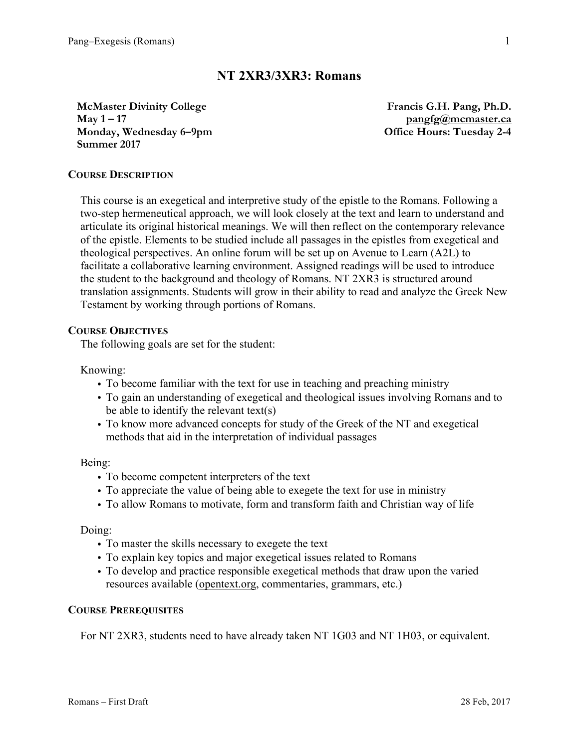# **NT 2XR3/3XR3: Romans**

**McMaster Divinity College May 1 – 17 Monday, Wednesday 6–9pm Summer 2017**

**Francis G.H. Pang, Ph.D. pangfg@mcmaster.ca Office Hours: Tuesday 2-4**

### **COURSE DESCRIPTION**

This course is an exegetical and interpretive study of the epistle to the Romans. Following a two-step hermeneutical approach, we will look closely at the text and learn to understand and articulate its original historical meanings. We will then reflect on the contemporary relevance of the epistle. Elements to be studied include all passages in the epistles from exegetical and theological perspectives. An online forum will be set up on Avenue to Learn (A2L) to facilitate a collaborative learning environment. Assigned readings will be used to introduce the student to the background and theology of Romans. NT 2XR3 is structured around translation assignments. Students will grow in their ability to read and analyze the Greek New Testament by working through portions of Romans.

#### **COURSE OBJECTIVES**

The following goals are set for the student:

Knowing:

- To become familiar with the text for use in teaching and preaching ministry
- To gain an understanding of exegetical and theological issues involving Romans and to be able to identify the relevant text(s)
- To know more advanced concepts for study of the Greek of the NT and exegetical methods that aid in the interpretation of individual passages

Being:

- To become competent interpreters of the text
- To appreciate the value of being able to exegete the text for use in ministry
- To allow Romans to motivate, form and transform faith and Christian way of life

Doing:

- To master the skills necessary to exegete the text
- To explain key topics and major exegetical issues related to Romans
- To develop and practice responsible exegetical methods that draw upon the varied resources available (opentext.org, commentaries, grammars, etc.)

### **COURSE PREREQUISITES**

For NT 2XR3, students need to have already taken NT 1G03 and NT 1H03, or equivalent.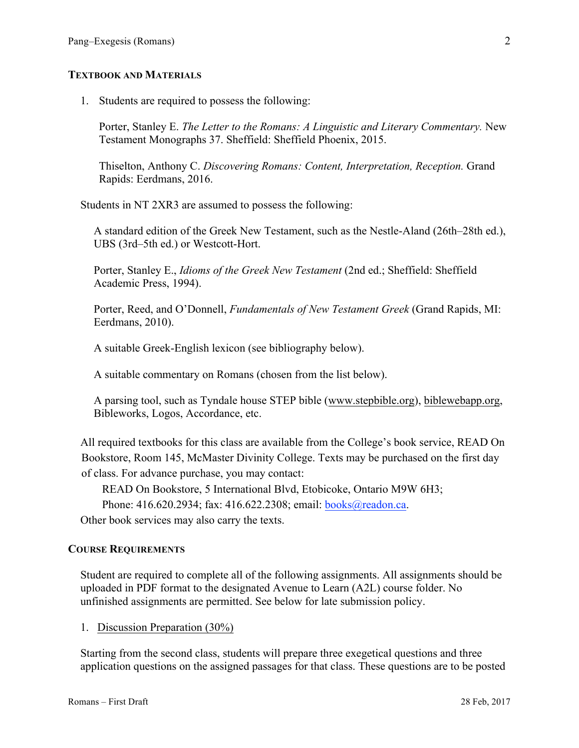### **TEXTBOOK AND MATERIALS**

1. Students are required to possess the following:

Porter, Stanley E. *The Letter to the Romans: A Linguistic and Literary Commentary.* New Testament Monographs 37. Sheffield: Sheffield Phoenix, 2015.

Thiselton, Anthony C. *Discovering Romans: Content, Interpretation, Reception.* Grand Rapids: Eerdmans, 2016.

Students in NT 2XR3 are assumed to possess the following:

A standard edition of the Greek New Testament, such as the Nestle-Aland (26th–28th ed.), UBS (3rd–5th ed.) or Westcott-Hort.

Porter, Stanley E., *Idioms of the Greek New Testament* (2nd ed.; Sheffield: Sheffield Academic Press, 1994).

Porter, Reed, and O'Donnell, *Fundamentals of New Testament Greek* (Grand Rapids, MI: Eerdmans, 2010).

A suitable Greek-English lexicon (see bibliography below).

A suitable commentary on Romans (chosen from the list below).

A parsing tool, such as Tyndale house STEP bible (www.stepbible.org), biblewebapp.org, Bibleworks, Logos, Accordance, etc.

All required textbooks for this class are available from the College's book service, READ On Bookstore, Room 145, McMaster Divinity College. Texts may be purchased on the first day of class. For advance purchase, you may contact:

READ On Bookstore, 5 International Blvd, Etobicoke, Ontario M9W 6H3;

Phone: 416.620.2934; fax: 416.622.2308; email: books@readon.ca.

Other book services may also carry the texts.

#### **COURSE REQUIREMENTS**

Student are required to complete all of the following assignments. All assignments should be uploaded in PDF format to the designated Avenue to Learn (A2L) course folder. No unfinished assignments are permitted. See below for late submission policy.

1. Discussion Preparation (30%)

Starting from the second class, students will prepare three exegetical questions and three application questions on the assigned passages for that class. These questions are to be posted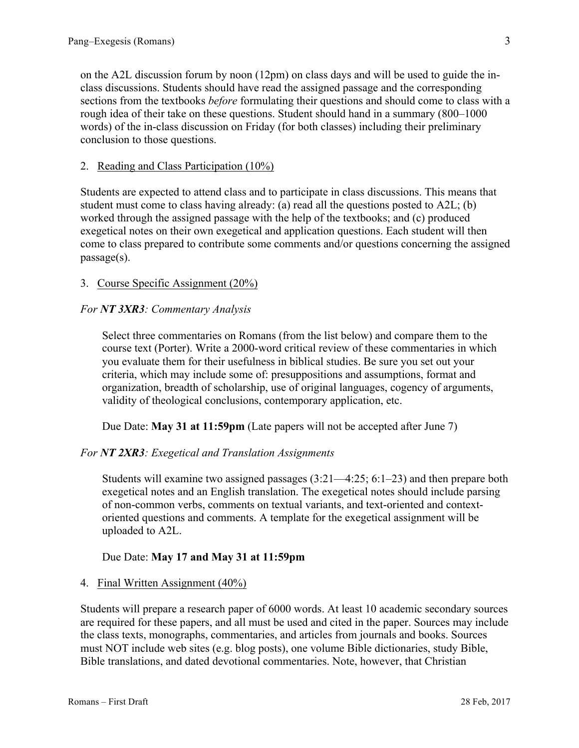on the A2L discussion forum by noon (12pm) on class days and will be used to guide the inclass discussions. Students should have read the assigned passage and the corresponding sections from the textbooks *before* formulating their questions and should come to class with a rough idea of their take on these questions. Student should hand in a summary (800–1000 words) of the in-class discussion on Friday (for both classes) including their preliminary conclusion to those questions.

### 2. Reading and Class Participation (10%)

Students are expected to attend class and to participate in class discussions. This means that student must come to class having already: (a) read all the questions posted to  $A2L$ ; (b) worked through the assigned passage with the help of the textbooks; and (c) produced exegetical notes on their own exegetical and application questions. Each student will then come to class prepared to contribute some comments and/or questions concerning the assigned passage(s).

# 3. Course Specific Assignment (20%)

### *For NT 3XR3: Commentary Analysis*

Select three commentaries on Romans (from the list below) and compare them to the course text (Porter). Write a 2000-word critical review of these commentaries in which you evaluate them for their usefulness in biblical studies. Be sure you set out your criteria, which may include some of: presuppositions and assumptions, format and organization, breadth of scholarship, use of original languages, cogency of arguments, validity of theological conclusions, contemporary application, etc.

Due Date: **May 31 at 11:59pm** (Late papers will not be accepted after June 7)

### *For NT 2XR3: Exegetical and Translation Assignments*

Students will examine two assigned passages (3:21—4:25; 6:1–23) and then prepare both exegetical notes and an English translation. The exegetical notes should include parsing of non-common verbs, comments on textual variants, and text-oriented and contextoriented questions and comments. A template for the exegetical assignment will be uploaded to A2L.

# Due Date: **May 17 and May 31 at 11:59pm**

### 4. Final Written Assignment (40%)

Students will prepare a research paper of 6000 words. At least 10 academic secondary sources are required for these papers, and all must be used and cited in the paper. Sources may include the class texts, monographs, commentaries, and articles from journals and books. Sources must NOT include web sites (e.g. blog posts), one volume Bible dictionaries, study Bible, Bible translations, and dated devotional commentaries. Note, however, that Christian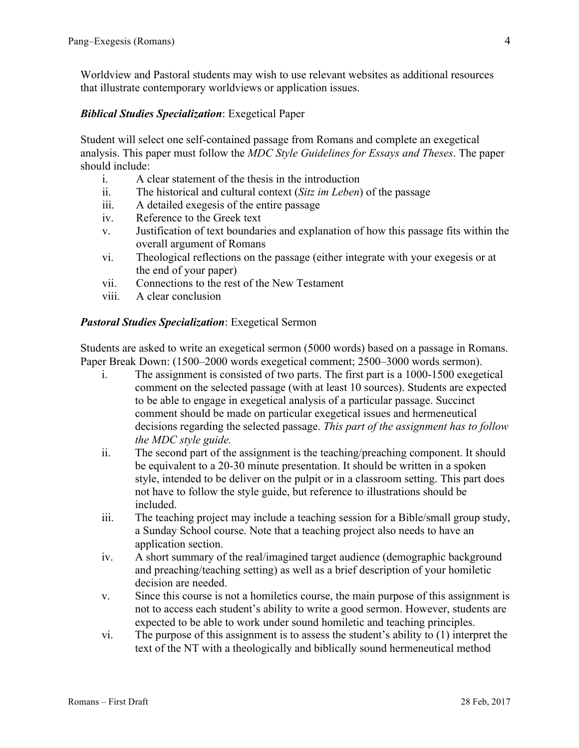Worldview and Pastoral students may wish to use relevant websites as additional resources that illustrate contemporary worldviews or application issues.

# *Biblical Studies Specialization*: Exegetical Paper

Student will select one self-contained passage from Romans and complete an exegetical analysis. This paper must follow the *MDC Style Guidelines for Essays and Theses*. The paper should include:

- i. A clear statement of the thesis in the introduction
- ii. The historical and cultural context (*Sitz im Leben*) of the passage
- iii. A detailed exegesis of the entire passage
- iv. Reference to the Greek text
- v. Justification of text boundaries and explanation of how this passage fits within the overall argument of Romans
- vi. Theological reflections on the passage (either integrate with your exegesis or at the end of your paper)
- vii. Connections to the rest of the New Testament
- viii. A clear conclusion

### *Pastoral Studies Specialization*: Exegetical Sermon

Students are asked to write an exegetical sermon (5000 words) based on a passage in Romans. Paper Break Down: (1500–2000 words exegetical comment; 2500–3000 words sermon).

- i. The assignment is consisted of two parts. The first part is a 1000-1500 exegetical comment on the selected passage (with at least 10 sources). Students are expected to be able to engage in exegetical analysis of a particular passage. Succinct comment should be made on particular exegetical issues and hermeneutical decisions regarding the selected passage. *This part of the assignment has to follow the MDC style guide.*
- ii. The second part of the assignment is the teaching/preaching component. It should be equivalent to a 20-30 minute presentation. It should be written in a spoken style, intended to be deliver on the pulpit or in a classroom setting. This part does not have to follow the style guide, but reference to illustrations should be included.
- iii. The teaching project may include a teaching session for a Bible/small group study, a Sunday School course. Note that a teaching project also needs to have an application section.
- iv. A short summary of the real/imagined target audience (demographic background and preaching/teaching setting) as well as a brief description of your homiletic decision are needed.
- v. Since this course is not a homiletics course, the main purpose of this assignment is not to access each student's ability to write a good sermon. However, students are expected to be able to work under sound homiletic and teaching principles.
- vi. The purpose of this assignment is to assess the student's ability to (1) interpret the text of the NT with a theologically and biblically sound hermeneutical method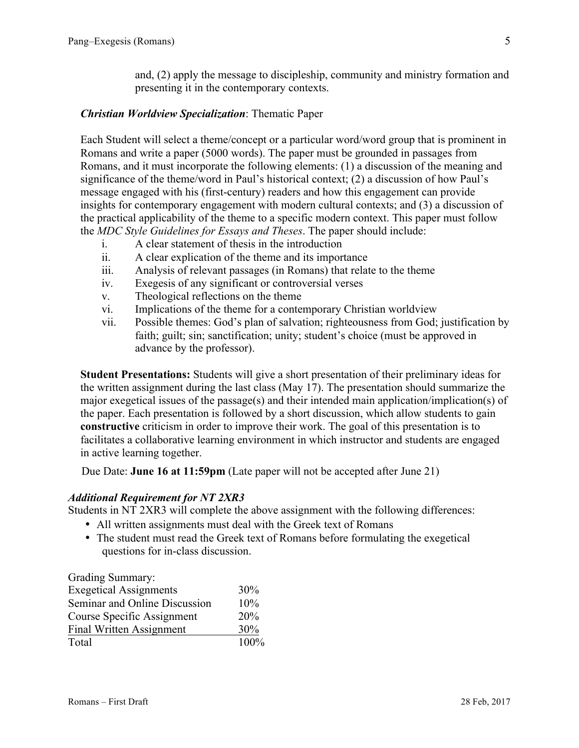and, (2) apply the message to discipleship, community and ministry formation and presenting it in the contemporary contexts.

# *Christian Worldview Specialization*: Thematic Paper

Each Student will select a theme/concept or a particular word/word group that is prominent in Romans and write a paper (5000 words). The paper must be grounded in passages from Romans, and it must incorporate the following elements: (1) a discussion of the meaning and significance of the theme/word in Paul's historical context; (2) a discussion of how Paul's message engaged with his (first-century) readers and how this engagement can provide insights for contemporary engagement with modern cultural contexts; and (3) a discussion of the practical applicability of the theme to a specific modern context. This paper must follow the *MDC Style Guidelines for Essays and Theses*. The paper should include:

- i. A clear statement of thesis in the introduction
- ii. A clear explication of the theme and its importance
- iii. Analysis of relevant passages (in Romans) that relate to the theme
- iv. Exegesis of any significant or controversial verses
- v. Theological reflections on the theme
- vi. Implications of the theme for a contemporary Christian worldview
- vii. Possible themes: God's plan of salvation; righteousness from God; justification by faith; guilt; sin; sanctification; unity; student's choice (must be approved in advance by the professor).

**Student Presentations:** Students will give a short presentation of their preliminary ideas for the written assignment during the last class (May 17). The presentation should summarize the major exegetical issues of the passage(s) and their intended main application/implication(s) of the paper. Each presentation is followed by a short discussion, which allow students to gain **constructive** criticism in order to improve their work. The goal of this presentation is to facilitates a collaborative learning environment in which instructor and students are engaged in active learning together.

Due Date: **June 16 at 11:59pm** (Late paper will not be accepted after June 21)

### *Additional Requirement for NT 2XR3*

Students in NT 2XR3 will complete the above assignment with the following differences:

- All written assignments must deal with the Greek text of Romans
- The student must read the Greek text of Romans before formulating the exegetical questions for in-class discussion.

| Grading Summary:                |      |
|---------------------------------|------|
| <b>Exegetical Assignments</b>   | 30%  |
| Seminar and Online Discussion   | 10%  |
| Course Specific Assignment      | 20%  |
| <b>Final Written Assignment</b> | 30%  |
| Total                           | 100% |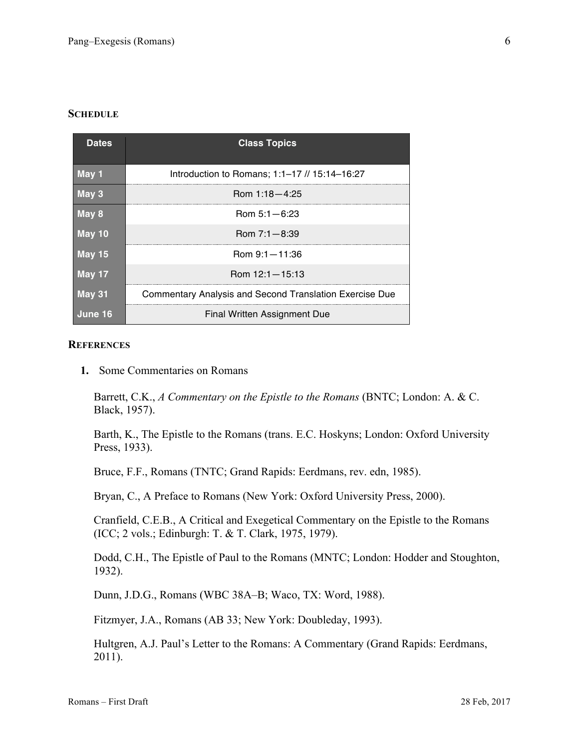#### **SCHEDULE**

| <b>Dates</b>  | <b>Class Topics</b>                                            |
|---------------|----------------------------------------------------------------|
| May 1         | Introduction to Romans; 1:1-17 // 15:14-16:27                  |
| May 3         | Rom $1:18-4:25$                                                |
| May 8         | $Rom 5:1 - 6:23$                                               |
| May 10        | Rom $7:1 - 8:39$                                               |
| May 15        | Rom 9:1-11:36                                                  |
| <b>May 17</b> | Rom $12:1 - 15:13$                                             |
| <b>May 31</b> | <b>Commentary Analysis and Second Translation Exercise Due</b> |
| June 16       | Final Written Assignment Due                                   |

#### **REFERENCES**

**1.** Some Commentaries on Romans

Barrett, C.K., *A Commentary on the Epistle to the Romans* (BNTC; London: A. & C. Black, 1957).

Barth, K., The Epistle to the Romans (trans. E.C. Hoskyns; London: Oxford University Press, 1933).

Bruce, F.F., Romans (TNTC; Grand Rapids: Eerdmans, rev. edn, 1985).

Bryan, C., A Preface to Romans (New York: Oxford University Press, 2000).

Cranfield, C.E.B., A Critical and Exegetical Commentary on the Epistle to the Romans (ICC; 2 vols.; Edinburgh: T. & T. Clark, 1975, 1979).

Dodd, C.H., The Epistle of Paul to the Romans (MNTC; London: Hodder and Stoughton, 1932).

Dunn, J.D.G., Romans (WBC 38A–B; Waco, TX: Word, 1988).

Fitzmyer, J.A., Romans (AB 33; New York: Doubleday, 1993).

Hultgren, A.J. Paul's Letter to the Romans: A Commentary (Grand Rapids: Eerdmans, 2011).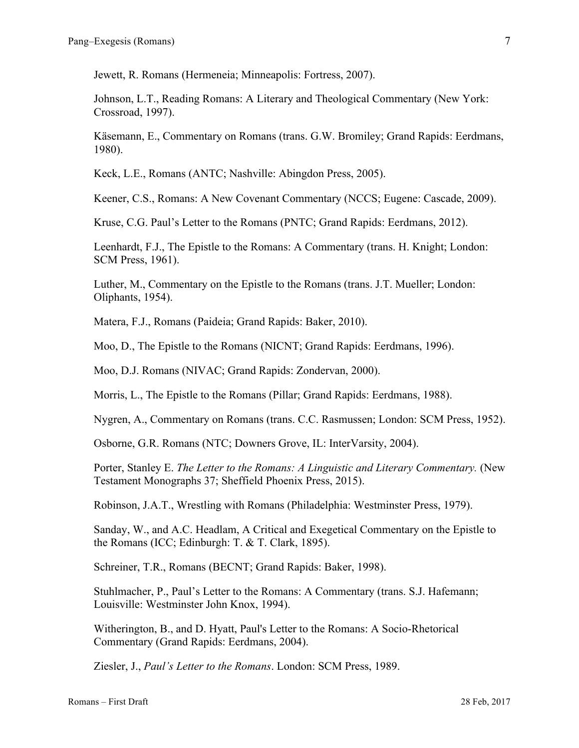Jewett, R. Romans (Hermeneia; Minneapolis: Fortress, 2007).

Johnson, L.T., Reading Romans: A Literary and Theological Commentary (New York: Crossroad, 1997).

Käsemann, E., Commentary on Romans (trans. G.W. Bromiley; Grand Rapids: Eerdmans, 1980).

Keck, L.E., Romans (ANTC; Nashville: Abingdon Press, 2005).

Keener, C.S., Romans: A New Covenant Commentary (NCCS; Eugene: Cascade, 2009).

Kruse, C.G. Paul's Letter to the Romans (PNTC; Grand Rapids: Eerdmans, 2012).

Leenhardt, F.J., The Epistle to the Romans: A Commentary (trans. H. Knight; London: SCM Press, 1961).

Luther, M., Commentary on the Epistle to the Romans (trans. J.T. Mueller; London: Oliphants, 1954).

Matera, F.J., Romans (Paideia; Grand Rapids: Baker, 2010).

Moo, D., The Epistle to the Romans (NICNT; Grand Rapids: Eerdmans, 1996).

Moo, D.J. Romans (NIVAC; Grand Rapids: Zondervan, 2000).

Morris, L., The Epistle to the Romans (Pillar; Grand Rapids: Eerdmans, 1988).

Nygren, A., Commentary on Romans (trans. C.C. Rasmussen; London: SCM Press, 1952).

Osborne, G.R. Romans (NTC; Downers Grove, IL: InterVarsity, 2004).

Porter, Stanley E. *The Letter to the Romans: A Linguistic and Literary Commentary.* (New Testament Monographs 37; Sheffield Phoenix Press, 2015).

Robinson, J.A.T., Wrestling with Romans (Philadelphia: Westminster Press, 1979).

Sanday, W., and A.C. Headlam, A Critical and Exegetical Commentary on the Epistle to the Romans (ICC; Edinburgh: T. & T. Clark, 1895).

Schreiner, T.R., Romans (BECNT; Grand Rapids: Baker, 1998).

Stuhlmacher, P., Paul's Letter to the Romans: A Commentary (trans. S.J. Hafemann; Louisville: Westminster John Knox, 1994).

Witherington, B., and D. Hyatt, Paul's Letter to the Romans: A Socio-Rhetorical Commentary (Grand Rapids: Eerdmans, 2004).

Ziesler, J., *Paul's Letter to the Romans*. London: SCM Press, 1989.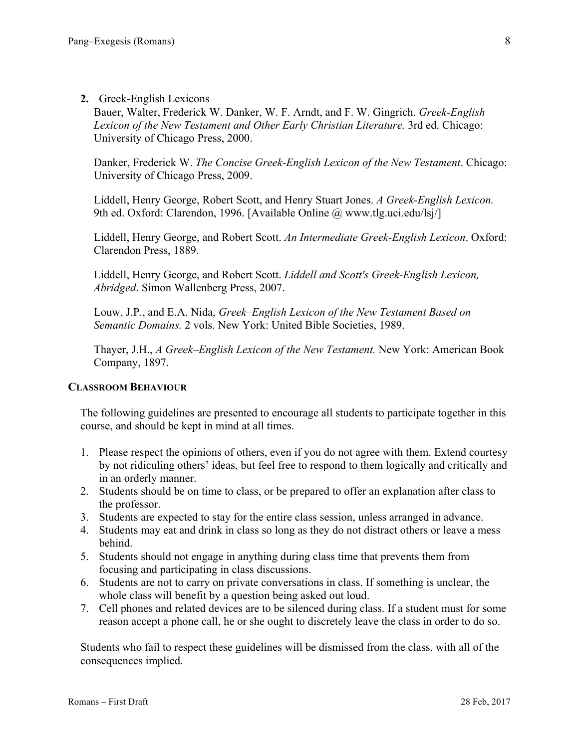### **2.** Greek-English Lexicons

Bauer, Walter, Frederick W. Danker, W. F. Arndt, and F. W. Gingrich. *Greek-English Lexicon of the New Testament and Other Early Christian Literature.* 3rd ed. Chicago: University of Chicago Press, 2000.

Danker, Frederick W. *The Concise Greek-English Lexicon of the New Testament*. Chicago: University of Chicago Press, 2009.

Liddell, Henry George, Robert Scott, and Henry Stuart Jones. *A Greek-English Lexicon.* 9th ed. Oxford: Clarendon, 1996. [Available Online @ www.tlg.uci.edu/lsj/]

Liddell, Henry George, and Robert Scott. *An Intermediate Greek-English Lexicon*. Oxford: Clarendon Press, 1889.

Liddell, Henry George, and Robert Scott. *Liddell and Scott's Greek-English Lexicon, Abridged*. Simon Wallenberg Press, 2007.

Louw, J.P., and E.A. Nida, *Greek–English Lexicon of the New Testament Based on Semantic Domains.* 2 vols. New York: United Bible Societies, 1989.

Thayer, J.H., *A Greek–English Lexicon of the New Testament.* New York: American Book Company, 1897.

#### **CLASSROOM BEHAVIOUR**

The following guidelines are presented to encourage all students to participate together in this course, and should be kept in mind at all times.

- 1. Please respect the opinions of others, even if you do not agree with them. Extend courtesy by not ridiculing others' ideas, but feel free to respond to them logically and critically and in an orderly manner.
- 2. Students should be on time to class, or be prepared to offer an explanation after class to the professor.
- 3. Students are expected to stay for the entire class session, unless arranged in advance.
- 4. Students may eat and drink in class so long as they do not distract others or leave a mess behind.
- 5. Students should not engage in anything during class time that prevents them from focusing and participating in class discussions.
- 6. Students are not to carry on private conversations in class. If something is unclear, the whole class will benefit by a question being asked out loud.
- 7. Cell phones and related devices are to be silenced during class. If a student must for some reason accept a phone call, he or she ought to discretely leave the class in order to do so.

Students who fail to respect these guidelines will be dismissed from the class, with all of the consequences implied.